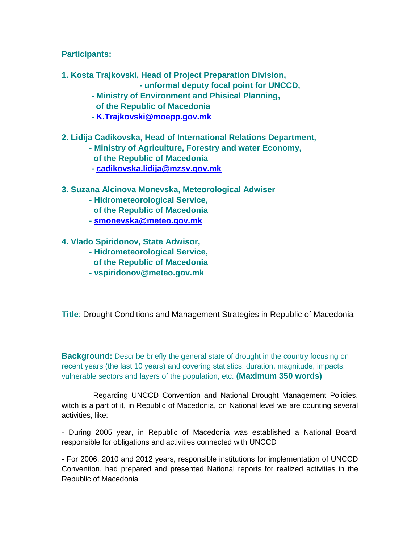**Participants:**

- **1. Kosta Trajkovski, Head of Project Preparation Division,** 
	- **- unformal deputy focal point for UNCCD,**
	- **- Ministry of Environment and Phisical Planning, of the Republic of Macedonia**
	- **- [K.Trajkovski@moepp.gov.mk](mailto:K.Trajkovski@moepp.gov.mk)**
- **2. Lidija Cadikovska, Head of International Relations Department,**
	- **- Ministry of Agriculture, Forestry and water Economy,**
		- **of the Republic of Macedonia**
		- **- [cadikovska.lidija@mzsv.gov.mk](mailto:cadikovska.lidija@mzsv.gov.mk)**
- **3. Suzana Alcinova Monevska, Meteorological Adwiser**
	- **- Hidrometeorological Service, of the Republic of Macedonia**
	- **- [smonevska@meteo.gov.mk](mailto:smonevska@meteo.gov.mk)**
- **4. Vlado Spiridonov, State Adwisor,**
	- **- Hidrometeorological Service,**
	- **of the Republic of Macedonia - vspiridonov@meteo.gov.mk**
	-

**Title**: Drought Conditions and Management Strategies in Republic of Macedonia

**Background:** Describe briefly the general state of drought in the country focusing on recent years (the last 10 years) and covering statistics, duration, magnitude, impacts; vulnerable sectors and layers of the population, etc. **(Maximum 350 words)**

 Regarding UNCCD Convention and National Drought Management Policies, witch is a part of it, in Republic of Macedonia, on National level we are counting several activities, like:

- During 2005 year, in Republic of Macedonia was established a National Board, responsible for obligations and activities connected with UNCCD

- For 2006, 2010 and 2012 years, responsible institutions for implementation of UNCCD Convention, had prepared and presented National reports for realized activities in the Republic of Macedonia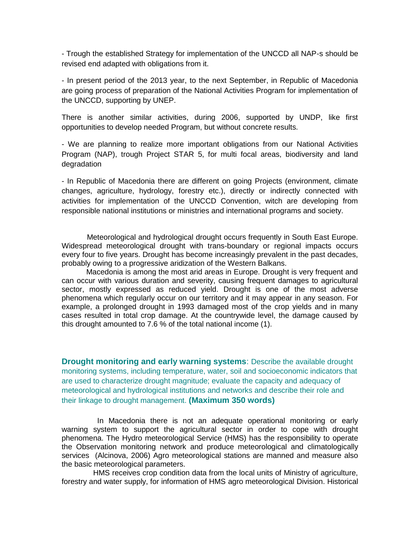- Trough the established Strategy for implementation of the UNCCD all NAP-s should be revised end adapted with obligations from it.

- In present period of the 2013 year, to the next September, in Republic of Macedonia are going process of preparation of the National Activities Program for implementation of the UNCCD, supporting by UNEP.

There is another similar activities, during 2006, supported by UNDP, like first opportunities to develop needed Program, but without concrete results.

- We are planning to realize more important obligations from our National Activities Program (NAP), trough Project STAR 5, for multi focal areas, biodiversity and land degradation

- In Republic of Macedonia there are different on going Projects (environment, climate changes, agriculture, hydrology, forestry etc.), directly or indirectly connected with activities for implementation of the UNCCD Convention, witch are developing from responsible national institutions or ministries and international programs and society.

 Meteorological and hydrological drought occurs frequently in South East Europe. Widespread meteorological drought with trans-boundary or regional impacts occurs every four to five years. Drought has become increasingly prevalent in the past decades, probably owing to a progressive aridization of the Western Balkans.

Macedonia is among the most arid areas in Europe. Drought is very frequent and can occur with various duration and severity, causing frequent damages to agricultural sector, mostly expressed as reduced yield. Drought is one of the most adverse phenomena which regularly occur on our territory and it may appear in any season. For example, a prolonged drought in 1993 damaged most of the crop yields and in many cases resulted in total crop damage. At the countrywide level, the damage caused by this drought amounted to 7.6 % of the total national income (1).

**Drought monitoring and early warning systems**: Describe the available drought monitoring systems, including temperature, water, soil and socioeconomic indicators that are used to characterize drought magnitude; evaluate the capacity and adequacy of meteorological and hydrological institutions and networks and describe their role and their linkage to drought management. **(Maximum 350 words)**

 In Macedonia there is not an adequate operational monitoring or early warning system to support the agricultural sector in order to cope with drought phenomena. The Hydro meteorological Service (HMS) has the responsibility to operate the Observation monitoring network and produce meteorological and climatologically services (Alcinova, 2006) Agro meteorological stations are manned and measure also the basic meteorological parameters.

 HMS receives crop condition data from the local units of Ministry of agriculture, forestry and water supply, for information of HMS agro meteorological Division. Historical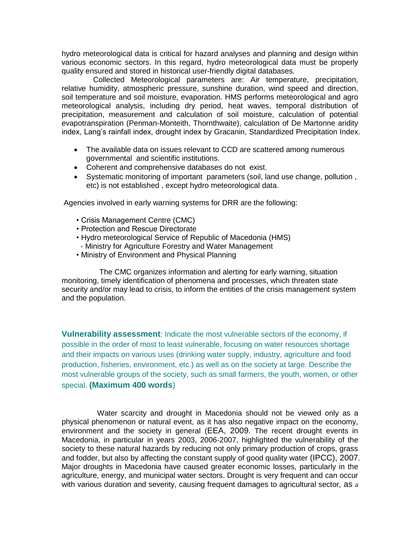hydro meteorological data is critical for hazard analyses and planning and design within various economic sectors. In this regard, hydro meteorological data must be properly quality ensured and stored in historical user-friendly digital databases.

 Collected Meteorological parameters are: Air temperature, precipitation, relative humidity, atmospheric pressure, sunshine duration, wind speed and direction, soil temperature and soil moisture, evaporation. HMS performs meteorological and agro meteorological analysis, including dry period, heat waves, temporal distribution of precipitation, measurement and calculation of soil moisture, calculation of potential evapotranspiration (Penman-Monteith, Thornthwaite), calculation of De Martonne aridity index, Lang's rainfall index, drought index by Gracanin, Standardized Precipitation Index.

- The available data on issues relevant to CCD are scattered among numerous governmental and scientific institutions.
- Coherent and comprehensive databases do not exist.
- Systematic monitoring of important parameters (soil, land use change, pollution , etc) is not established , except hydro meteorological data.

Agencies involved in early warning systems for DRR are the following:

- Crisis Management Centre (CMC)
- Protection and Rescue Directorate
- Hydro meteorological Service of Republic of Macedonia (HMS)
- Ministry for Agriculture Forestry and Water Management
- Ministry of Environment and Physical Planning

 The CMC organizes information and alerting for early warning, situation monitoring, timely identification of phenomena and processes, which threaten state security and/or may lead to crisis, to inform the entities of the crisis management system and the population.

**Vulnerability assessment**: Indicate the most vulnerable sectors of the economy, if possible in the order of most to least vulnerable, focusing on water resources shortage and their impacts on various uses (drinking water supply, industry, agriculture and food production, fisheries, environment, etc.) as well as on the society at large. Describe the most vulnerable groups of the society, such as small farmers, the youth, women, or other special. **(Maximum 400 words**)

 Water scarcity and drought in Macedonia should not be viewed only as a physical phenomenon or natural event, as it has also negative impact on the economy, environment and the society in general (EEA, 2009. The recent drought events in Macedonia, in particular in years 2003, 2006-2007, highlighted the vulnerability of the society to these natural hazards by reducing not only primary production of crops, grass and fodder, but also by affecting the constant supply of good quality water (IPCC), 2007. Major droughts in Macedonia have caused greater economic losses, particularly in the agriculture, energy, and municipal water sectors. Drought is very frequent and can occur with various duration and severity, causing frequent damages to agricultural sector, as a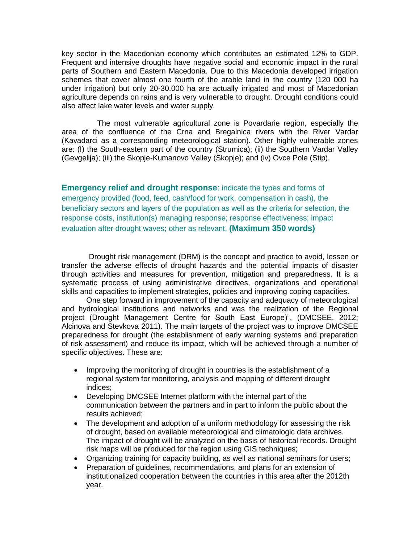key sector in the Macedonian economy which contributes an estimated 12% to GDP. Frequent and intensive droughts have negative social and economic impact in the rural parts of Southern and Eastern Macedonia. Due to this Macedonia developed irrigation schemes that cover almost one fourth of the arable land in the country (120 000 ha under irrigation) but only 20-30.000 ha are actually irrigated and most of Macedonian agriculture depends on rains and is very vulnerable to drought. Drought conditions could also affect lake water levels and water supply.

 The most vulnerable agricultural zone is Povardarie region, especially the area of the confluence of the Crna and Bregalnica rivers with the River Vardar (Kavadarci as a corresponding meteorological station). Other highly vulnerable zones are: (I) the South-eastern part of the country (Strumica); (ii) the Southern Vardar Valley (Gevgelija); (iii) the Skopje-Kumanovo Valley (Skopje); and (iv) Ovce Pole (Stip).

**Emergency relief and drought response**: indicate the types and forms of emergency provided (food, feed, cash/food for work, compensation in cash), the beneficiary sectors and layers of the population as well as the criteria for selection, the response costs, institution(s) managing response; response effectiveness; impact evaluation after drought waves; other as relevant. **(Maximum 350 words)**

 Drought risk management (DRM) is the concept and practice to avoid, lessen or transfer the adverse effects of drought hazards and the potential impacts of disaster through activities and measures for prevention, mitigation and preparedness. It is a systematic process of using administrative directives, organizations and operational skills and capacities to implement strategies, policies and improving coping capacities.

One step forward in improvement of the capacity and adequacy of meteorological and hydrological institutions and networks and was the realization of the Regional project [\(Drought Management Centre for South East Europe\)",](http://www.dmcsee.eu/) (DMCSEE. 2012; Alcinova and Stevkova 2011). The main targets of the project was to improve DMCSEE preparedness for drought (the establishment of early warning systems and preparation of risk assessment) and reduce its impact, which will be achieved through a number of specific objectives. These are:

- Improving the monitoring of drought in countries is the establishment of a regional system for monitoring, analysis and mapping of different drought indices;
- Developing DMCSEE Internet platform with the internal part of the communication between the partners and in part to inform the public about the results achieved;
- The development and adoption of a uniform methodology for assessing the risk of drought, based on available meteorological and climatologic data archives. The impact of drought will be analyzed on the basis of historical records. Drought risk maps will be produced for the region using GIS techniques;
- Organizing training for capacity building, as well as national seminars for users;
- Preparation of quidelines, recommendations, and plans for an extension of institutionalized cooperation between the countries in this area after the 2012th year.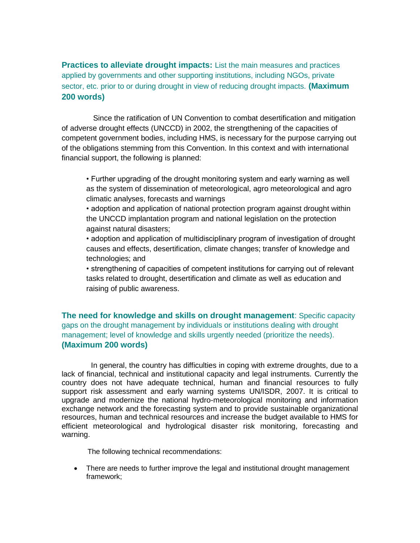**Practices to alleviate drought impacts:** List the main measures and practices applied by governments and other supporting institutions, including NGOs, private sector, etc. prior to or during drought in view of reducing drought impacts. **(Maximum 200 words)**

 Since the ratification of UN Convention to combat desertification and mitigation of adverse drought effects (UNCCD) in 2002, the strengthening of the capacities of competent government bodies, including HMS, is necessary for the purpose carrying out of the obligations stemming from this Convention. In this context and with international financial support, the following is planned:

• Further upgrading of the drought monitoring system and early warning as well as the system of dissemination of meteorological, agro meteorological and agro climatic analyses, forecasts and warnings

• adoption and application of national protection program against drought within the UNCCD implantation program and national legislation on the protection against natural disasters;

• adoption and application of multidisciplinary program of investigation of drought causes and effects, desertification, climate changes; transfer of knowledge and technologies; and

• strengthening of capacities of competent institutions for carrying out of relevant tasks related to drought, desertification and climate as well as education and raising of public awareness.

**The need for knowledge and skills on drought management**: Specific capacity gaps on the drought management by individuals or institutions dealing with drought management; level of knowledge and skills urgently needed (prioritize the needs). **(Maximum 200 words)**

 In general, the country has difficulties in coping with extreme droughts, due to a lack of financial, technical and institutional capacity and legal instruments. Currently the country does not have adequate technical, human and financial resources to fully support risk assessment and early warning systems UN/ISDR, 2007. It is critical to upgrade and modernize the national hydro-meteorological monitoring and information exchange network and the forecasting system and to provide sustainable organizational resources, human and technical resources and increase the budget available to HMS for efficient meteorological and hydrological disaster risk monitoring, forecasting and warning.

The following technical recommendations:

• There are needs to further improve the legal and institutional drought management framework;